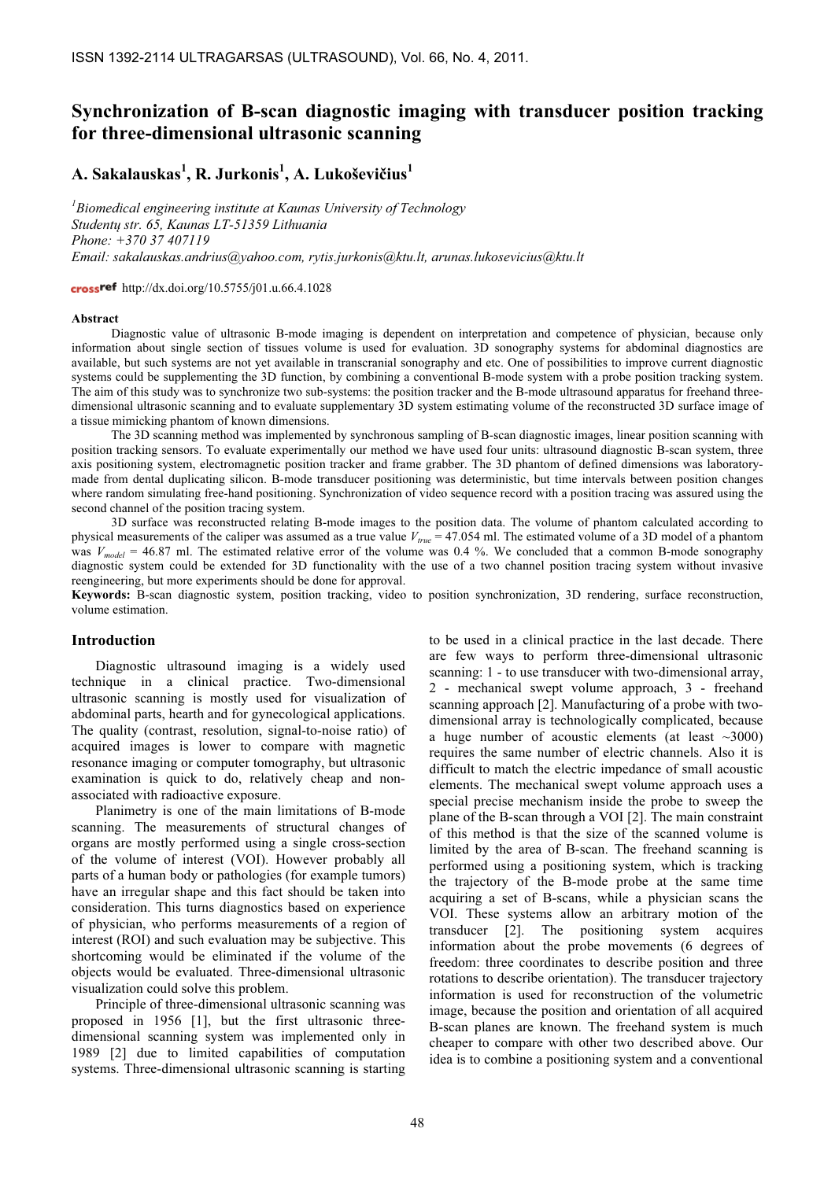# Synchronization of B-scan diagnostic imaging with transducer position tracking for three-dimensional ultrasonic scanning

# A. Sakalauskas $^{\rm l}$ , R. Jurkonis $^{\rm l}$ , A. Lukoševičius $^{\rm l}$

 ${}^{1}$ Biomedical engineering institute at Kaunas University of Technology Studentų str. 65, Kaunas LT-51359 Lithuania Phone: +370 37 407119 Email: sakalauskas.andrius@yahoo.com, rytis.jurkonis@ktu.lt, arunas.lukosevicius@ktu.lt

cross<sup>ref</sup> http://dx.doi.org/10.5755/j01.u.66.4.1028

#### **Abstract**

Diagnostic value of ultrasonic B-mode imaging is dependent on interpretation and competence of physician, because only information about single section of tissues volume is used for evaluation. 3D sonography systems for abdominal diagnostics are available, but such systems are not yet available in transcranial sonography and etc. One of possibilities to improve current diagnostic systems could be supplementing the 3D function, by combining a conventional B-mode system with a probe position tracking system. The aim of this study was to synchronize two sub-systems: the position tracker and the B-mode ultrasound apparatus for freehand threedimensional ultrasonic scanning and to evaluate supplementary 3D system estimating volume of the reconstructed 3D surface image of a tissue mimicking phantom of known dimensions.

The 3D scanning method was implemented by synchronous sampling of B-scan diagnostic images, linear position scanning with position tracking sensors. To evaluate experimentally our method we have used four units: ultrasound diagnostic B-scan system, three axis positioning system, electromagnetic position tracker and frame grabber. The 3D phantom of defined dimensions was laboratorymade from dental duplicating silicon. B-mode transducer positioning was deterministic, but time intervals between position changes where random simulating free-hand positioning. Synchronization of video sequence record with a position tracing was assured using the second channel of the position tracing system.

3D surface was reconstructed relating B-mode images to the position data. The volume of phantom calculated according to physical measurements of the caliper was assumed as a true value  $V_{true} = 47.054$  ml. The estimated volume of a 3D model of a phantom was  $V_{model} = 46.87$  ml. The estimated relative error of the volume was 0.4 %. We concluded that a common B-mode sonography diagnostic system could be extended for 3D functionality with the use of a two channel position tracing system without invasive reengineering, but more experiments should be done for approval.

Keywords: B-scan diagnostic system, position tracking, video to position synchronization, 3D rendering, surface reconstruction, volume estimation.

### Introduction

Diagnostic ultrasound imaging is a widely used technique in a clinical practice. Two-dimensional ultrasonic scanning is mostly used for visualization of abdominal parts, hearth and for gynecological applications. The quality (contrast, resolution, signal-to-noise ratio) of acquired images is lower to compare with magnetic resonance imaging or computer tomography, but ultrasonic examination is quick to do, relatively cheap and nonassociated with radioactive exposure.

Planimetry is one of the main limitations of B-mode scanning. The measurements of structural changes of organs are mostly performed using a single cross-section of the volume of interest (VOI). However probably all parts of a human body or pathologies (for example tumors) have an irregular shape and this fact should be taken into consideration. This turns diagnostics based on experience of physician, who performs measurements of a region of interest (ROI) and such evaluation may be subjective. This shortcoming would be eliminated if the volume of the objects would be evaluated. Three-dimensional ultrasonic visualization could solve this problem.

Principle of three-dimensional ultrasonic scanning was proposed in 1956 [1], but the first ultrasonic threedimensional scanning system was implemented only in 1989 [2] due to limited capabilities of computation systems. Three-dimensional ultrasonic scanning is starting to be used in a clinical practice in the last decade. There are few ways to perform three-dimensional ultrasonic scanning: 1 - to use transducer with two-dimensional array, 2 - mechanical swept volume approach, 3 - freehand scanning approach [2]. Manufacturing of a probe with twodimensional array is technologically complicated, because a huge number of acoustic elements (at least  $\sim$ 3000) requires the same number of electric channels. Also it is difficult to match the electric impedance of small acoustic elements. The mechanical swept volume approach uses a special precise mechanism inside the probe to sweep the plane of the B-scan through a VOI [2]. The main constraint of this method is that the size of the scanned volume is limited by the area of B-scan. The freehand scanning is performed using a positioning system, which is tracking the trajectory of the B-mode probe at the same time acquiring a set of B-scans, while a physician scans the VOI. These systems allow an arbitrary motion of the transducer [2]. The positioning system acquires information about the probe movements (6 degrees of freedom: three coordinates to describe position and three rotations to describe orientation). The transducer trajectory information is used for reconstruction of the volumetric image, because the position and orientation of all acquired B-scan planes are known. The freehand system is much cheaper to compare with other two described above. Our idea is to combine a positioning system and a conventional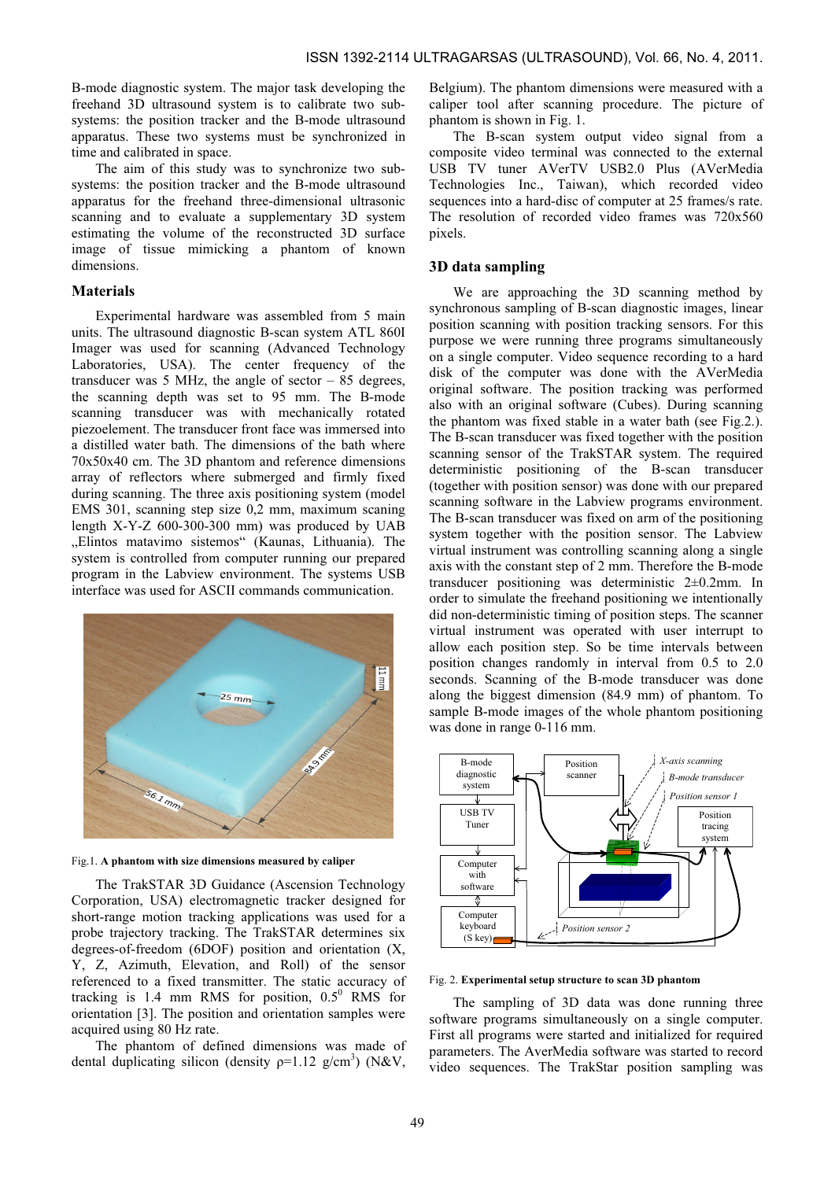B-mode diagnostic system. The major task developing the freehand 3D ultrasound system is to calibrate two subsystems: the position tracker and the B-mode ultrasound apparatus. These two systems must be synchronized in time and calibrated in space.

The aim of this study was to synchronize two subsystems: the position tracker and the B-mode ultrasound apparatus for the freehand three-dimensional ultrasonic scanning and to evaluate a supplementary 3D system estimating the volume of the reconstructed 3D surface image of tissue mimicking a phantom of known dimensions.

# **Materials**

Experimental hardware was assembled from 5 main units. The ultrasound diagnostic B-scan system ATL 860I Imager was used for scanning (Advanced Technology Laboratories, USA). The center frequency of the transducer was  $5$  MHz, the angle of sector  $-85$  degrees, the scanning depth was set to 95 mm. The B-mode scanning transducer was with mechanically rotated piezoelement. The transducer front face was immersed into a distilled water bath. The dimensions of the bath where 70x50x40 cm. The 3D phantom and reference dimensions array of reflectors where submerged and firmly fixed during scanning. The three axis positioning system (model EMS 301, scanning step size 0,2 mm, maximum scaning length X-Y-Z 600-300-300 mm) was produced by UAB "Elintos matavimo sistemos" (Kaunas, Lithuania). The system is controlled from computer running our prepared program in the Labview environment. The systems USB interface was used for ASCII commands communication.



Fig.1. A phantom with size dimensions measured by caliper

The TrakSTAR 3D Guidance (Ascension Technology Corporation, USA) electromagnetic tracker designed for short-range motion tracking applications was used for a probe trajectory tracking. The TrakSTAR determines six degrees-of-freedom (6DOF) position and orientation (X, Y, Z, Azimuth, Elevation, and Roll) of the sensor referenced to a fixed transmitter. The static accuracy of tracking is 1.4 mm RMS for position,  $0.5^0$  RMS for orientation [3]. The position and orientation samples were acquired using 80 Hz rate.

The phantom of defined dimensions was made of dental duplicating silicon (density  $p=1.12$  g/cm<sup>3</sup>) (N&V,

Belgium). The phantom dimensions were measured with a caliper tool after scanning procedure. The picture of phantom is shown in Fig. 1.

The B-scan system output video signal from a composite video terminal was connected to the external USB TV tuner AVerTV USB2.0 Plus (AVerMedia Technologies Inc., Taiwan), which recorded video sequences into a hard-disc of computer at 25 frames/s rate. The resolution of recorded video frames was 720x560 pixels.

## 3D data sampling

We are approaching the 3D scanning method by synchronous sampling of B-scan diagnostic images, linear position scanning with position tracking sensors. For this purpose we were running three programs simultaneously on a single computer. Video sequence recording to a hard disk of the computer was done with the AVerMedia original software. The position tracking was performed also with an original software (Cubes). During scanning the phantom was fixed stable in a water bath (see Fig.2.). The B-scan transducer was fixed together with the position scanning sensor of the TrakSTAR system. The required deterministic positioning of the B-scan transducer (together with position sensor) was done with our prepared scanning software in the Labview programs environment. The B-scan transducer was fixed on arm of the positioning system together with the position sensor. The Labview virtual instrument was controlling scanning along a single axis with the constant step of 2 mm. Therefore the B-mode transducer positioning was deterministic 2±0.2mm. In order to simulate the freehand positioning we intentionally did non-deterministic timing of position steps. The scanner virtual instrument was operated with user interrupt to allow each position step. So be time intervals between position changes randomly in interval from 0.5 to 2.0 seconds. Scanning of the B-mode transducer was done along the biggest dimension (84.9 mm) of phantom. To sample B-mode images of the whole phantom positioning was done in range 0-116 mm.



Fig. 2. Experimental setup structure to scan 3D phantom

The sampling of 3D data was done running three software programs simultaneously on a single computer. First all programs were started and initialized for required parameters. The AverMedia software was started to record video sequences. The TrakStar position sampling was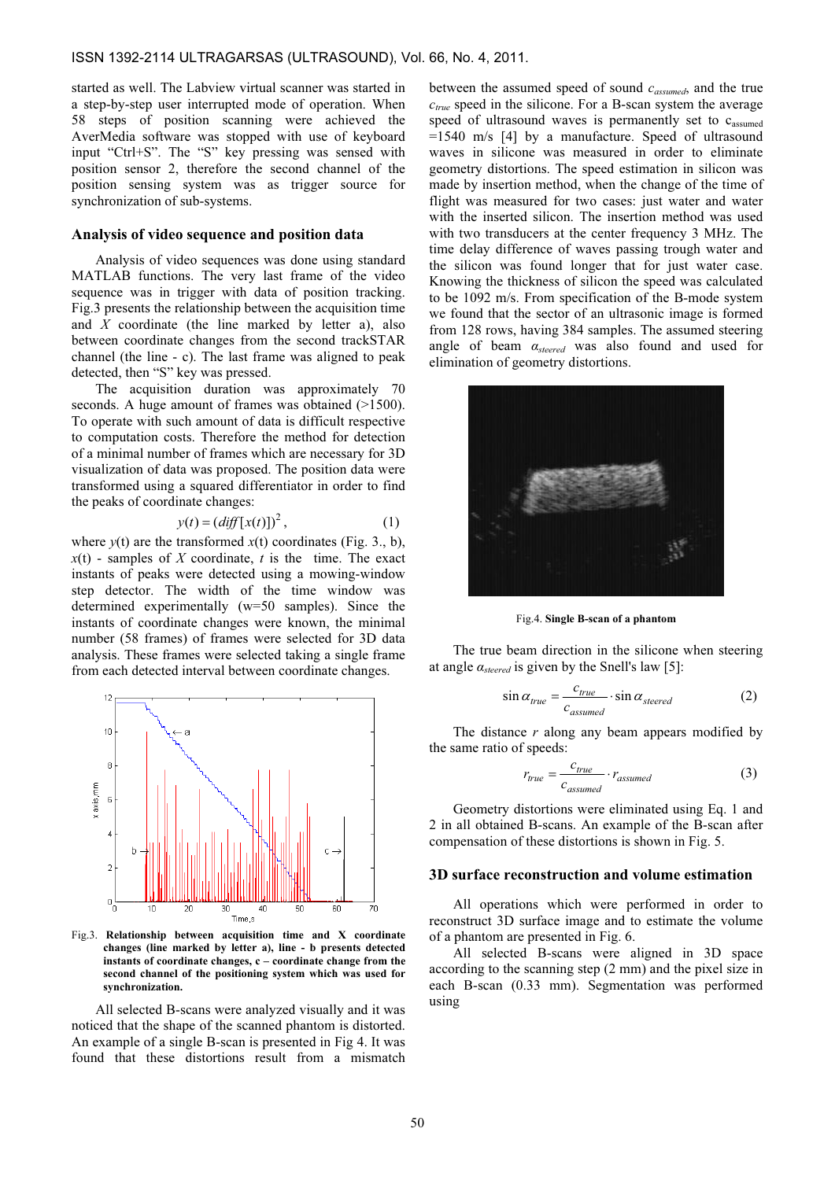started as well. The Labview virtual scanner was started in a step-by-step user interrupted mode of operation. When 58 steps of position scanning were achieved the AverMedia software was stopped with use of keyboard input "Ctrl+S". The "S" key pressing was sensed with position sensor 2, therefore the second channel of the position sensing system was as trigger source for synchronization of sub-systems.

#### Analysis of video sequence and position data

Analysis of video sequences was done using standard MATLAB functions. The very last frame of the video sequence was in trigger with data of position tracking. Fig.3 presents the relationship between the acquisition time and  $X$  coordinate (the line marked by letter a), also between coordinate changes from the second trackSTAR channel (the line - c). The last frame was aligned to peak detected, then "S" key was pressed.

The acquisition duration was approximately 70 seconds. A huge amount of frames was obtained (>1500). To operate with such amount of data is difficult respective to computation costs. Therefore the method for detection of a minimal number of frames which are necessary for 3D visualization of data was proposed. The position data were transformed using a squared differentiator in order to find the peaks of coordinate changes:

$$
y(t) = (diff[x(t)])2,
$$
 (1)

where  $y(t)$  are the transformed  $x(t)$  coordinates (Fig. 3., b),  $x(t)$  - samples of X coordinate, t is the time. The exact instants of peaks were detected using a mowing-window step detector. The width of the time window was determined experimentally (w=50 samples). Since the instants of coordinate changes were known, the minimal number (58 frames) of frames were selected for 3D data analysis. These frames were selected taking a single frame from each detected interval between coordinate changes.



Fig.3. Relationship between acquisition time and X coordinate changes (line marked by letter a), line - b presents detected instants of coordinate changes, c – coordinate change from the second channel of the positioning system which was used for synchronization.

All selected B-scans were analyzed visually and it was noticed that the shape of the scanned phantom is distorted. An example of a single B-scan is presented in Fig 4. It was found that these distortions result from a mismatch between the assumed speed of sound  $c_{assumed}$ , and the true  $c_{true}$  speed in the silicone. For a B-scan system the average speed of ultrasound waves is permanently set to  $c<sub>assumed</sub>$ =1540 m/s [4] by a manufacture. Speed of ultrasound waves in silicone was measured in order to eliminate geometry distortions. The speed estimation in silicon was made by insertion method, when the change of the time of flight was measured for two cases: just water and water with the inserted silicon. The insertion method was used with two transducers at the center frequency 3 MHz. The time delay difference of waves passing trough water and the silicon was found longer that for just water case. Knowing the thickness of silicon the speed was calculated to be 1092 m/s. From specification of the B-mode system we found that the sector of an ultrasonic image is formed from 128 rows, having 384 samples. The assumed steering angle of beam  $\alpha_{\text{steered}}$  was also found and used for elimination of geometry distortions.



Fig.4. Single B-scan of a phantom

The true beam direction in the silicone when steering at angle  $\alpha_{\text{steered}}$  is given by the Snell's law [5]:

$$
\sin \alpha_{true} = \frac{c_{true}}{c_{assumed}} \cdot \sin \alpha_{steered}
$$
 (2)

The distance  $r$  along any beam appears modified by the same ratio of speeds:

$$
r_{true} = \frac{c_{true}}{c_{assumed}} \cdot r_{assumed}
$$
 (3)

Geometry distortions were eliminated using Eq. 1 and 2 in all obtained B-scans. An example of the B-scan after compensation of these distortions is shown in Fig. 5.

#### 3D surface reconstruction and volume estimation

All operations which were performed in order to reconstruct 3D surface image and to estimate the volume of a phantom are presented in Fig. 6.

All selected B-scans were aligned in 3D space according to the scanning step (2 mm) and the pixel size in each B-scan (0.33 mm). Segmentation was performed using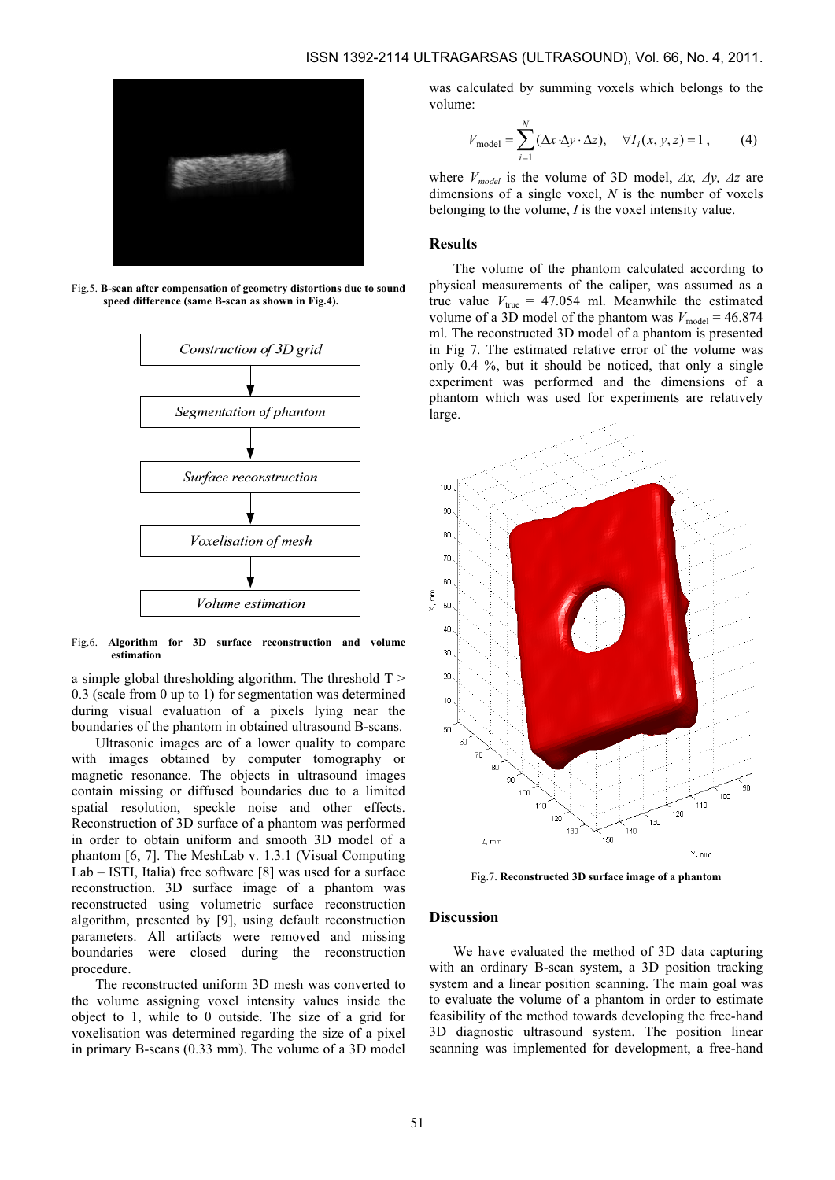

Fig.5. B-scan after compensation of geometry distortions due to sound speed difference (same B-scan as shown in Fig.4).



Fig.6. Algorithm for 3D surface reconstruction and volume estimation

a simple global thresholding algorithm. The threshold  $T >$ 0.3 (scale from 0 up to 1) for segmentation was determined during visual evaluation of a pixels lying near the boundaries of the phantom in obtained ultrasound B-scans.

Ultrasonic images are of a lower quality to compare with images obtained by computer tomography or magnetic resonance. The objects in ultrasound images contain missing or diffused boundaries due to a limited spatial resolution, speckle noise and other effects. Reconstruction of 3D surface of a phantom was performed in order to obtain uniform and smooth 3D model of a phantom [6, 7]. The MeshLab v. 1.3.1 (Visual Computing Lab – ISTI, Italia) free software [8] was used for a surface reconstruction. 3D surface image of a phantom was reconstructed using volumetric surface reconstruction algorithm, presented by [9], using default reconstruction parameters. All artifacts were removed and missing boundaries were closed during the reconstruction procedure.

The reconstructed uniform 3D mesh was converted to the volume assigning voxel intensity values inside the object to 1, while to 0 outside. The size of a grid for voxelisation was determined regarding the size of a pixel in primary B-scans (0.33 mm). The volume of a 3D model was calculated by summing voxels which belongs to the volume:

$$
V_{\text{model}} = \sum_{i=1}^{N} (\Delta x \cdot \Delta y \cdot \Delta z), \quad \forall I_i(x, y, z) = 1, \quad (4)
$$

where  $V_{model}$  is the volume of 3D model,  $\Delta x$ ,  $\Delta y$ ,  $\Delta z$  are dimensions of a single voxel,  $N$  is the number of voxels belonging to the volume, I is the voxel intensity value.

## Results

The volume of the phantom calculated according to physical measurements of the caliper, was assumed as a true value  $V_{\text{true}} = 47.054$  ml. Meanwhile the estimated volume of a 3D model of the phantom was  $V_{\text{model}} = 46.874$ ml. The reconstructed 3D model of a phantom is presented in Fig 7. The estimated relative error of the volume was only 0.4 %, but it should be noticed, that only a single experiment was performed and the dimensions of a phantom which was used for experiments are relatively large.



Fig.7. Reconstructed 3D surface image of a phantom

## Discussion

We have evaluated the method of 3D data capturing with an ordinary B-scan system, a 3D position tracking system and a linear position scanning. The main goal was to evaluate the volume of a phantom in order to estimate feasibility of the method towards developing the free-hand 3D diagnostic ultrasound system. The position linear scanning was implemented for development, a free-hand